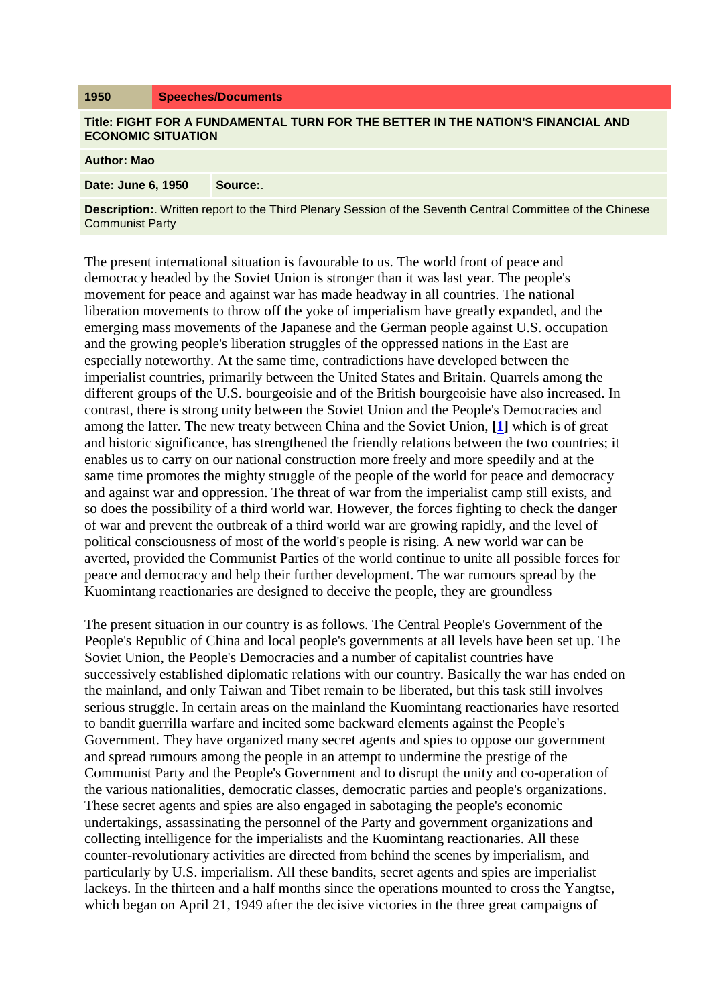## **1950 Speeches/Documents**

# **Title: FIGHT FOR A FUNDAMENTAL TURN FOR THE BETTER IN THE NATION'S FINANCIAL AND ECONOMIC SITUATION**

#### **Author: Mao**

### **Date: June 6, 1950 Source:**.

**Description:**. Written report to the Third Plenary Session of the Seventh Central Committee of the Chinese Communist Party

The present international situation is favourable to us. The world front of peace and democracy headed by the Soviet Union is stronger than it was last year. The people's movement for peace and against war has made headway in all countries. The national liberation movements to throw off the yoke of imperialism have greatly expanded, and the emerging mass movements of the Japanese and the German people against U.S. occupation and the growing people's liberation struggles of the oppressed nations in the East are especially noteworthy. At the same time, contradictions have developed between the imperialist countries, primarily between the United States and Britain. Quarrels among the different groups of the U.S. bourgeoisie and of the British bourgeoisie have also increased. In contrast, there is strong unity between the Soviet Union and the People's Democracies and among the latter. The new treaty between China and the Soviet Union, **[\[1\]](http://www.marxists.org/reference/archive/mao/selected-works/volume-5/mswv5_06.htm#bm2)** which is of great and historic significance, has strengthened the friendly relations between the two countries; it enables us to carry on our national construction more freely and more speedily and at the same time promotes the mighty struggle of the people of the world for peace and democracy and against war and oppression. The threat of war from the imperialist camp still exists, and so does the possibility of a third world war. However, the forces fighting to check the danger of war and prevent the outbreak of a third world war are growing rapidly, and the level of political consciousness of most of the world's people is rising. A new world war can be averted, provided the Communist Parties of the world continue to unite all possible forces for peace and democracy and help their further development. The war rumours spread by the Kuomintang reactionaries are designed to deceive the people, they are groundless

The present situation in our country is as follows. The Central People's Government of the People's Republic of China and local people's governments at all levels have been set up. The Soviet Union, the People's Democracies and a number of capitalist countries have successively established diplomatic relations with our country. Basically the war has ended on the mainland, and only Taiwan and Tibet remain to be liberated, but this task still involves serious struggle. In certain areas on the mainland the Kuomintang reactionaries have resorted to bandit guerrilla warfare and incited some backward elements against the People's Government. They have organized many secret agents and spies to oppose our government and spread rumours among the people in an attempt to undermine the prestige of the Communist Party and the People's Government and to disrupt the unity and co-operation of the various nationalities, democratic classes, democratic parties and people's organizations. These secret agents and spies are also engaged in sabotaging the people's economic undertakings, assassinating the personnel of the Party and government organizations and collecting intelligence for the imperialists and the Kuomintang reactionaries. All these counter-revolutionary activities are directed from behind the scenes by imperialism, and particularly by U.S. imperialism. All these bandits, secret agents and spies are imperialist lackeys. In the thirteen and a half months since the operations mounted to cross the Yangtse, which began on April 21, 1949 after the decisive victories in the three great campaigns of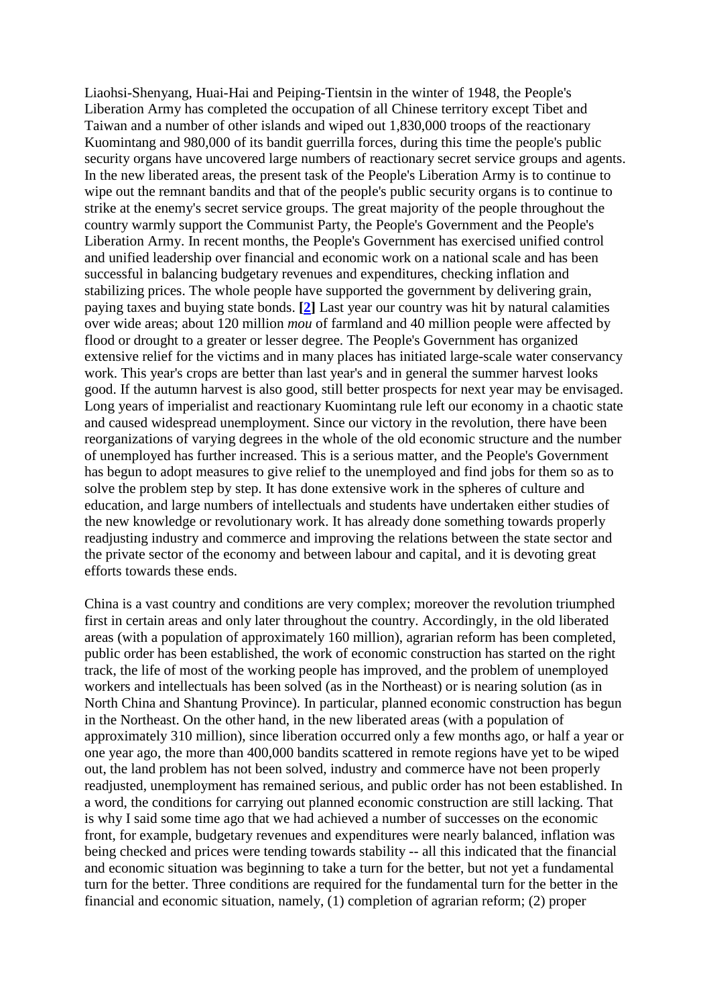Liaohsi-Shenyang, Huai-Hai and Peiping-Tientsin in the winter of 1948, the People's Liberation Army has completed the occupation of all Chinese territory except Tibet and Taiwan and a number of other islands and wiped out 1,830,000 troops of the reactionary Kuomintang and 980,000 of its bandit guerrilla forces, during this time the people's public security organs have uncovered large numbers of reactionary secret service groups and agents. In the new liberated areas, the present task of the People's Liberation Army is to continue to wipe out the remnant bandits and that of the people's public security organs is to continue to strike at the enemy's secret service groups. The great majority of the people throughout the country warmly support the Communist Party, the People's Government and the People's Liberation Army. In recent months, the People's Government has exercised unified control and unified leadership over financial and economic work on a national scale and has been successful in balancing budgetary revenues and expenditures, checking inflation and stabilizing prices. The whole people have supported the government by delivering grain, paying taxes and buying state bonds. **[\[2\]](http://www.marxists.org/reference/archive/mao/selected-works/volume-5/mswv5_06.htm#bm2)** Last year our country was hit by natural calamities over wide areas; about 120 million *mou* of farmland and 40 million people were affected by flood or drought to a greater or lesser degree. The People's Government has organized extensive relief for the victims and in many places has initiated large-scale water conservancy work. This year's crops are better than last year's and in general the summer harvest looks good. If the autumn harvest is also good, still better prospects for next year may be envisaged. Long years of imperialist and reactionary Kuomintang rule left our economy in a chaotic state and caused widespread unemployment. Since our victory in the revolution, there have been reorganizations of varying degrees in the whole of the old economic structure and the number of unemployed has further increased. This is a serious matter, and the People's Government has begun to adopt measures to give relief to the unemployed and find jobs for them so as to solve the problem step by step. It has done extensive work in the spheres of culture and education, and large numbers of intellectuals and students have undertaken either studies of the new knowledge or revolutionary work. It has already done something towards properly readjusting industry and commerce and improving the relations between the state sector and the private sector of the economy and between labour and capital, and it is devoting great efforts towards these ends.

China is a vast country and conditions are very complex; moreover the revolution triumphed first in certain areas and only later throughout the country. Accordingly, in the old liberated areas (with a population of approximately 160 million), agrarian reform has been completed, public order has been established, the work of economic construction has started on the right track, the life of most of the working people has improved, and the problem of unemployed workers and intellectuals has been solved (as in the Northeast) or is nearing solution (as in North China and Shantung Province). In particular, planned economic construction has begun in the Northeast. On the other hand, in the new liberated areas (with a population of approximately 310 million), since liberation occurred only a few months ago, or half a year or one year ago, the more than 400,000 bandits scattered in remote regions have yet to be wiped out, the land problem has not been solved, industry and commerce have not been properly readjusted, unemployment has remained serious, and public order has not been established. In a word, the conditions for carrying out planned economic construction are still lacking. That is why I said some time ago that we had achieved a number of successes on the economic front, for example, budgetary revenues and expenditures were nearly balanced, inflation was being checked and prices were tending towards stability -- all this indicated that the financial and economic situation was beginning to take a turn for the better, but not yet a fundamental turn for the better. Three conditions are required for the fundamental turn for the better in the financial and economic situation, namely, (1) completion of agrarian reform; (2) proper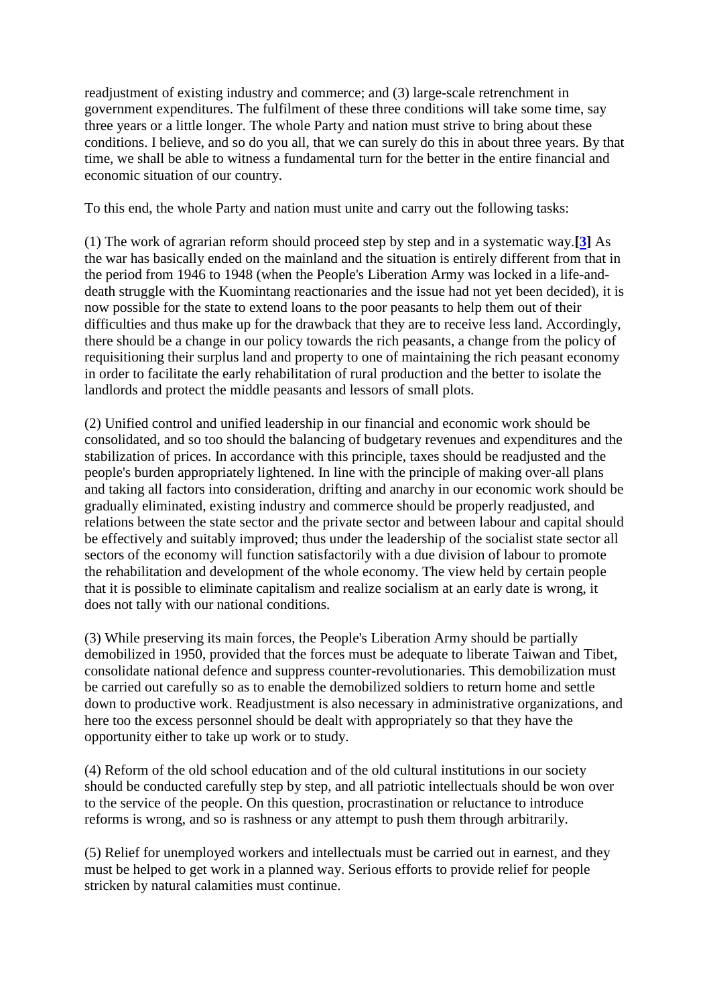readjustment of existing industry and commerce; and (3) large-scale retrenchment in government expenditures. The fulfilment of these three conditions will take some time, say three years or a little longer. The whole Party and nation must strive to bring about these conditions. I believe, and so do you all, that we can surely do this in about three years. By that time, we shall be able to witness a fundamental turn for the better in the entire financial and economic situation of our country.

To this end, the whole Party and nation must unite and carry out the following tasks:

(1) The work of agrarian reform should proceed step by step and in a systematic way.**[\[3\]](http://www.marxists.org/reference/archive/mao/selected-works/volume-5/mswv5_06.htm#bm3)** As the war has basically ended on the mainland and the situation is entirely different from that in the period from 1946 to 1948 (when the People's Liberation Army was locked in a life-anddeath struggle with the Kuomintang reactionaries and the issue had not yet been decided), it is now possible for the state to extend loans to the poor peasants to help them out of their difficulties and thus make up for the drawback that they are to receive less land. Accordingly, there should be a change in our policy towards the rich peasants, a change from the policy of requisitioning their surplus land and property to one of maintaining the rich peasant economy in order to facilitate the early rehabilitation of rural production and the better to isolate the landlords and protect the middle peasants and lessors of small plots.

(2) Unified control and unified leadership in our financial and economic work should be consolidated, and so too should the balancing of budgetary revenues and expenditures and the stabilization of prices. In accordance with this principle, taxes should be readjusted and the people's burden appropriately lightened. In line with the principle of making over-all plans and taking all factors into consideration, drifting and anarchy in our economic work should be gradually eliminated, existing industry and commerce should be properly readjusted, and relations between the state sector and the private sector and between labour and capital should be effectively and suitably improved; thus under the leadership of the socialist state sector all sectors of the economy will function satisfactorily with a due division of labour to promote the rehabilitation and development of the whole economy. The view held by certain people that it is possible to eliminate capitalism and realize socialism at an early date is wrong, it does not tally with our national conditions.

(3) While preserving its main forces, the People's Liberation Army should be partially demobilized in 1950, provided that the forces must be adequate to liberate Taiwan and Tibet, consolidate national defence and suppress counter-revolutionaries. This demobilization must be carried out carefully so as to enable the demobilized soldiers to return home and settle down to productive work. Readjustment is also necessary in administrative organizations, and here too the excess personnel should be dealt with appropriately so that they have the opportunity either to take up work or to study.

(4) Reform of the old school education and of the old cultural institutions in our society should be conducted carefully step by step, and all patriotic intellectuals should be won over to the service of the people. On this question, procrastination or reluctance to introduce reforms is wrong, and so is rashness or any attempt to push them through arbitrarily.

(5) Relief for unemployed workers and intellectuals must be carried out in earnest, and they must be helped to get work in a planned way. Serious efforts to provide relief for people stricken by natural calamities must continue.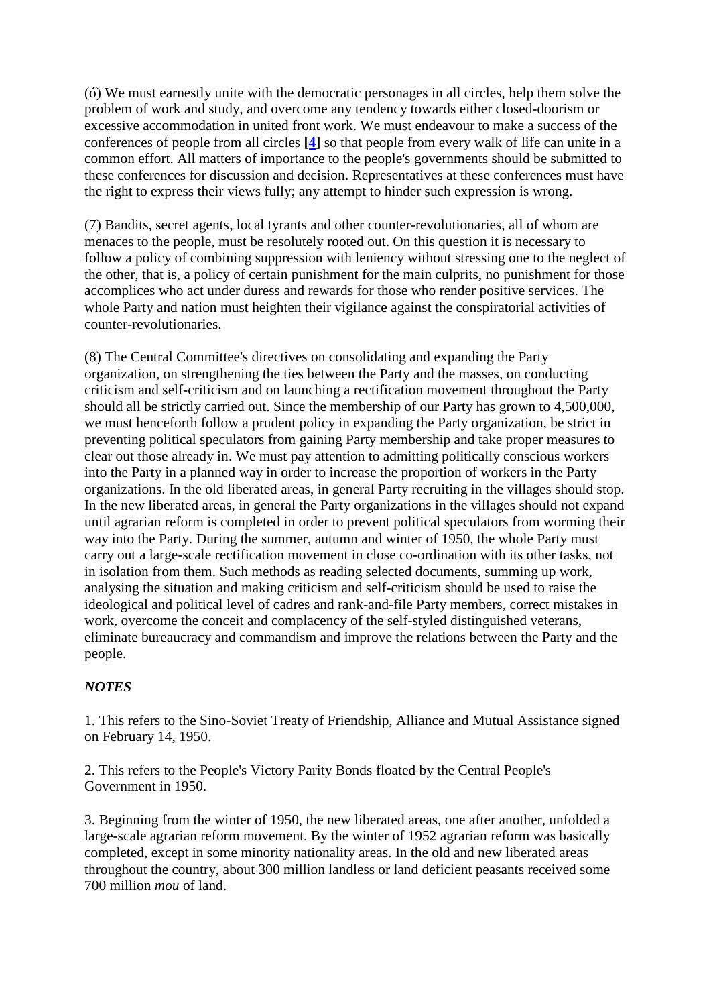(ó) We must earnestly unite with the democratic personages in all circles, help them solve the problem of work and study, and overcome any tendency towards either closed-doorism or excessive accommodation in united front work. We must endeavour to make a success of the conferences of people from all circles **[\[4\]](http://www.marxists.org/reference/archive/mao/selected-works/volume-5/mswv5_06.htm#bm4)** so that people from every walk of life can unite in a common effort. All matters of importance to the people's governments should be submitted to these conferences for discussion and decision. Representatives at these conferences must have the right to express their views fully; any attempt to hinder such expression is wrong.

(7) Bandits, secret agents, local tyrants and other counter-revolutionaries, all of whom are menaces to the people, must be resolutely rooted out. On this question it is necessary to follow a policy of combining suppression with leniency without stressing one to the neglect of the other, that is, a policy of certain punishment for the main culprits, no punishment for those accomplices who act under duress and rewards for those who render positive services. The whole Party and nation must heighten their vigilance against the conspiratorial activities of counter-revolutionaries.

(8) The Central Committee's directives on consolidating and expanding the Party organization, on strengthening the ties between the Party and the masses, on conducting criticism and self-criticism and on launching a rectification movement throughout the Party should all be strictly carried out. Since the membership of our Party has grown to 4,500,000, we must henceforth follow a prudent policy in expanding the Party organization, be strict in preventing political speculators from gaining Party membership and take proper measures to clear out those already in. We must pay attention to admitting politically conscious workers into the Party in a planned way in order to increase the proportion of workers in the Party organizations. In the old liberated areas, in general Party recruiting in the villages should stop. In the new liberated areas, in general the Party organizations in the villages should not expand until agrarian reform is completed in order to prevent political speculators from worming their way into the Party. During the summer, autumn and winter of 1950, the whole Party must carry out a large-scale rectification movement in close co-ordination with its other tasks, not in isolation from them. Such methods as reading selected documents, summing up work, analysing the situation and making criticism and self-criticism should be used to raise the ideological and political level of cadres and rank-and-file Party members, correct mistakes in work, overcome the conceit and complacency of the self-styled distinguished veterans, eliminate bureaucracy and commandism and improve the relations between the Party and the people.

# *NOTES*

1. This refers to the Sino-Soviet Treaty of Friendship, Alliance and Mutual Assistance signed on February 14, 1950.

2. This refers to the People's Victory Parity Bonds floated by the Central People's Government in 1950.

3. Beginning from the winter of 1950, the new liberated areas, one after another, unfolded a large-scale agrarian reform movement. By the winter of 1952 agrarian reform was basically completed, except in some minority nationality areas. In the old and new liberated areas throughout the country, about 300 million landless or land deficient peasants received some 700 million *mou* of land.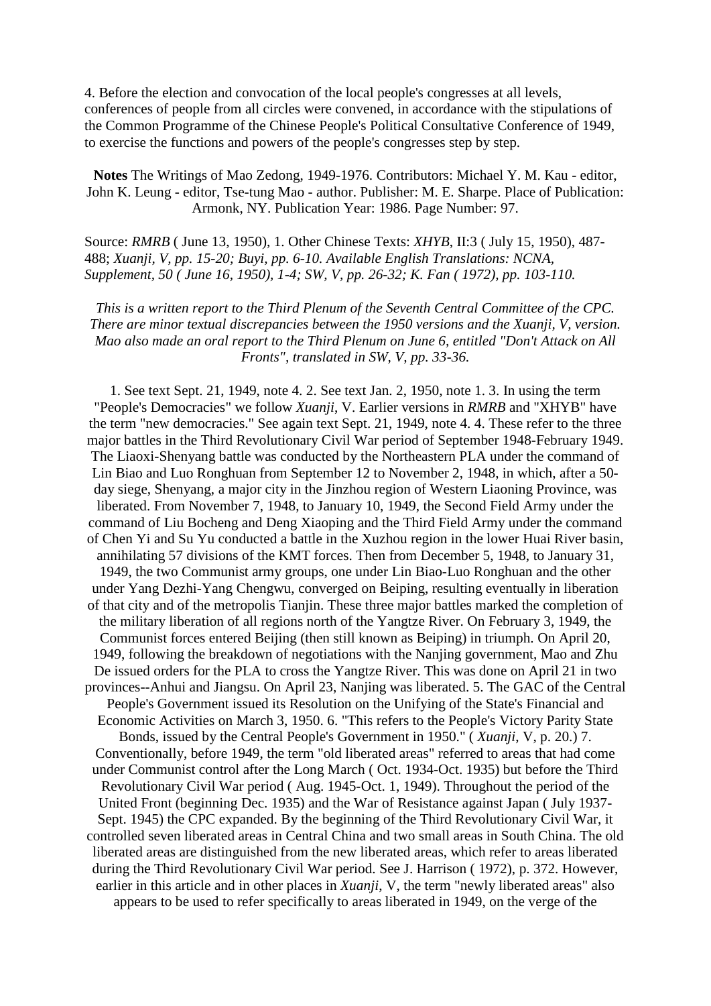4. Before the election and convocation of the local people's congresses at all levels, conferences of people from all circles were convened, in accordance with the stipulations of the Common Programme of the Chinese People's Political Consultative Conference of 1949, to exercise the functions and powers of the people's congresses step by step.

**Notes** The Writings of Mao Zedong, 1949-1976. Contributors: Michael Y. M. Kau - editor, John K. Leung - editor, Tse-tung Mao - author. Publisher: M. E. Sharpe. Place of Publication: Armonk, NY. Publication Year: 1986. Page Number: 97.

Source: *RMRB* ( June 13, 1950), 1. Other Chinese Texts: *XHYB*, II:3 ( July 15, 1950), 487- 488; *Xuanji, V, pp. 15-20; Buyi, pp. 6-10. Available English Translations: NCNA, Supplement, 50 ( June 16, 1950), 1-4; SW, V, pp. 26-32; K. Fan ( 1972), pp. 103-110.* 

*This is a written report to the Third Plenum of the Seventh Central Committee of the CPC. There are minor textual discrepancies between the 1950 versions and the Xuanji, V, version. Mao also made an oral report to the Third Plenum on June 6, entitled "Don't Attack on All Fronts", translated in SW, V, pp. 33-36.* 

1. See text Sept. 21, 1949, note 4. 2. See text Jan. 2, 1950, note 1. 3. In using the term "People's Democracies" we follow *Xuanji*, V. Earlier versions in *RMRB* and "XHYB" have the term "new democracies." See again text Sept. 21, 1949, note 4. 4. These refer to the three major battles in the Third Revolutionary Civil War period of September 1948-February 1949. The Liaoxi-Shenyang battle was conducted by the Northeastern PLA under the command of Lin Biao and Luo Ronghuan from September 12 to November 2, 1948, in which, after a 50 day siege, Shenyang, a major city in the Jinzhou region of Western Liaoning Province, was liberated. From November 7, 1948, to January 10, 1949, the Second Field Army under the command of Liu Bocheng and Deng Xiaoping and the Third Field Army under the command of Chen Yi and Su Yu conducted a battle in the Xuzhou region in the lower Huai River basin, annihilating 57 divisions of the KMT forces. Then from December 5, 1948, to January 31, 1949, the two Communist army groups, one under Lin Biao-Luo Ronghuan and the other under Yang Dezhi-Yang Chengwu, converged on Beiping, resulting eventually in liberation of that city and of the metropolis Tianjin. These three major battles marked the completion of the military liberation of all regions north of the Yangtze River. On February 3, 1949, the Communist forces entered Beijing (then still known as Beiping) in triumph. On April 20, 1949, following the breakdown of negotiations with the Nanjing government, Mao and Zhu De issued orders for the PLA to cross the Yangtze River. This was done on April 21 in two provinces--Anhui and Jiangsu. On April 23, Nanjing was liberated. 5. The GAC of the Central People's Government issued its Resolution on the Unifying of the State's Financial and Economic Activities on March 3, 1950. 6. "This refers to the People's Victory Parity State Bonds, issued by the Central People's Government in 1950." ( *Xuanji*, V, p. 20.) 7. Conventionally, before 1949, the term "old liberated areas" referred to areas that had come under Communist control after the Long March ( Oct. 1934-Oct. 1935) but before the Third Revolutionary Civil War period ( Aug. 1945-Oct. 1, 1949). Throughout the period of the United Front (beginning Dec. 1935) and the War of Resistance against Japan ( July 1937- Sept. 1945) the CPC expanded. By the beginning of the Third Revolutionary Civil War, it controlled seven liberated areas in Central China and two small areas in South China. The old liberated areas are distinguished from the new liberated areas, which refer to areas liberated during the Third Revolutionary Civil War period. See J. Harrison ( 1972), p. 372. However, earlier in this article and in other places in *Xuanji*, V, the term "newly liberated areas" also appears to be used to refer specifically to areas liberated in 1949, on the verge of the